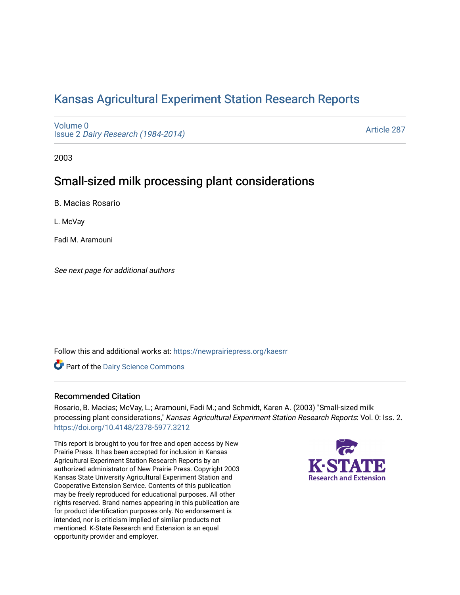# [Kansas Agricultural Experiment Station Research Reports](https://newprairiepress.org/kaesrr)

[Volume 0](https://newprairiepress.org/kaesrr/vol0) Issue 2 [Dairy Research \(1984-2014\)](https://newprairiepress.org/kaesrr/vol0/iss2) 

[Article 287](https://newprairiepress.org/kaesrr/vol0/iss2/287) 

2003

# Small-sized milk processing plant considerations

B. Macias Rosario

L. McVay

Fadi M. Aramouni

See next page for additional authors

Follow this and additional works at: [https://newprairiepress.org/kaesrr](https://newprairiepress.org/kaesrr?utm_source=newprairiepress.org%2Fkaesrr%2Fvol0%2Fiss2%2F287&utm_medium=PDF&utm_campaign=PDFCoverPages) 

Part of the [Dairy Science Commons](http://network.bepress.com/hgg/discipline/79?utm_source=newprairiepress.org%2Fkaesrr%2Fvol0%2Fiss2%2F287&utm_medium=PDF&utm_campaign=PDFCoverPages) 

# Recommended Citation

Rosario, B. Macias; McVay, L.; Aramouni, Fadi M.; and Schmidt, Karen A. (2003) "Small-sized milk processing plant considerations," Kansas Agricultural Experiment Station Research Reports: Vol. 0: Iss. 2. <https://doi.org/10.4148/2378-5977.3212>

This report is brought to you for free and open access by New Prairie Press. It has been accepted for inclusion in Kansas Agricultural Experiment Station Research Reports by an authorized administrator of New Prairie Press. Copyright 2003 Kansas State University Agricultural Experiment Station and Cooperative Extension Service. Contents of this publication may be freely reproduced for educational purposes. All other rights reserved. Brand names appearing in this publication are for product identification purposes only. No endorsement is intended, nor is criticism implied of similar products not mentioned. K-State Research and Extension is an equal opportunity provider and employer.

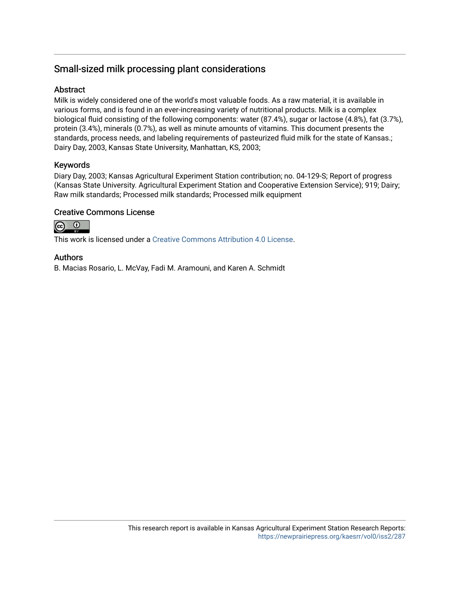# Small-sized milk processing plant considerations

# **Abstract**

Milk is widely considered one of the world's most valuable foods. As a raw material, it is available in various forms, and is found in an ever-increasing variety of nutritional products. Milk is a complex biological fluid consisting of the following components: water (87.4%), sugar or lactose (4.8%), fat (3.7%), protein (3.4%), minerals (0.7%), as well as minute amounts of vitamins. This document presents the standards, process needs, and labeling requirements of pasteurized fluid milk for the state of Kansas.; Dairy Day, 2003, Kansas State University, Manhattan, KS, 2003;

# Keywords

Diary Day, 2003; Kansas Agricultural Experiment Station contribution; no. 04-129-S; Report of progress (Kansas State University. Agricultural Experiment Station and Cooperative Extension Service); 919; Dairy; Raw milk standards; Processed milk standards; Processed milk equipment

# Creative Commons License



This work is licensed under a [Creative Commons Attribution 4.0 License](https://creativecommons.org/licenses/by/4.0/).

# Authors

B. Macias Rosario, L. McVay, Fadi M. Aramouni, and Karen A. Schmidt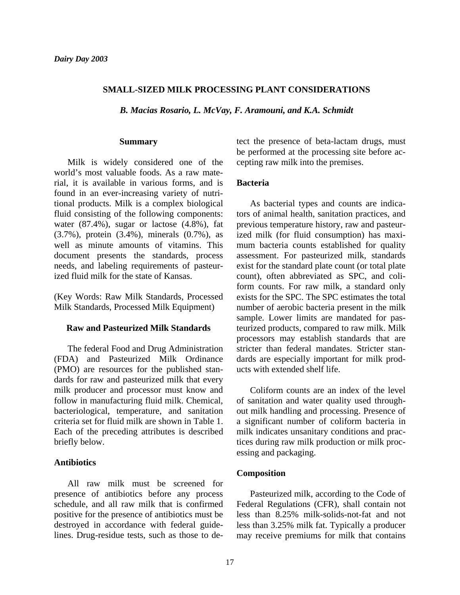#### **SMALL-SIZED MILK PROCESSING PLANT CONSIDERATIONS**

*B. Macias Rosario, L. McVay, F. Aramouni, and K.A. Schmidt* 

### **Summary**

 Milk is widely considered one of the world's most valuable foods. As a raw material, it is available in various forms, and is found in an ever-increasing variety of nutritional products. Milk is a complex biological fluid consisting of the following components: water  $(87.4\%)$ , sugar or lactose  $(4.8\%)$ , fat (3.7%), protein (3.4%), minerals (0.7%), as well as minute amounts of vitamins. This document presents the standards, process needs, and labeling requirements of pasteurized fluid milk for the state of Kansas.

(Key Words: Raw Milk Standards, Processed Milk Standards, Processed Milk Equipment)

#### **Raw and Pasteurized Milk Standards**

 The federal Food and Drug Administration (FDA) and Pasteurized Milk Ordinance (PMO) are resources for the published standards for raw and pasteurized milk that every milk producer and processor must know and follow in manufacturing fluid milk. Chemical, bacteriological, temperature, and sanitation criteria set for fluid milk are shown in Table 1. Each of the preceding attributes is described briefly below.

#### **Antibiotics**

 All raw milk must be screened for presence of antibiotics before any process schedule, and all raw milk that is confirmed positive for the presence of antibiotics must be destroyed in accordance with federal guidelines. Drug-residue tests, such as those to detect the presence of beta-lactam drugs, must be performed at the processing site before accepting raw milk into the premises.

#### **Bacteria**

 As bacterial types and counts are indicators of animal health, sanitation practices, and previous temperature history, raw and pasteurized milk (for fluid consumption) has maximum bacteria counts established for quality assessment. For pasteurized milk, standards exist for the standard plate count (or total plate count), often abbreviated as SPC, and coliform counts. For raw milk, a standard only exists for the SPC. The SPC estimates the total number of aerobic bacteria present in the milk sample. Lower limits are mandated for pasteurized products, compared to raw milk. Milk processors may establish standards that are stricter than federal mandates. Stricter standards are especially important for milk products with extended shelf life.

 Coliform counts are an index of the level of sanitation and water quality used throughout milk handling and processing. Presence of a significant number of coliform bacteria in milk indicates unsanitary conditions and practices during raw milk production or milk processing and packaging.

#### **Composition**

 Pasteurized milk, according to the Code of Federal Regulations (CFR), shall contain not less than 8.25% milk-solids-not-fat and not less than 3.25% milk fat. Typically a producer may receive premiums for milk that contains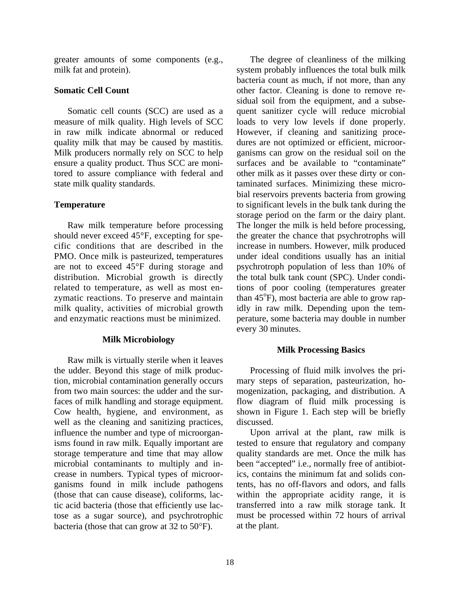greater amounts of some components (e.g., milk fat and protein).

#### **Somatic Cell Count**

 Somatic cell counts (SCC) are used as a measure of milk quality. High levels of SCC in raw milk indicate abnormal or reduced quality milk that may be caused by mastitis. Milk producers normally rely on SCC to help ensure a quality product. Thus SCC are monitored to assure compliance with federal and state milk quality standards.

#### **Temperature**

 Raw milk temperature before processing should never exceed 45°F, excepting for specific conditions that are described in the PMO. Once milk is pasteurized, temperatures are not to exceed 45°F during storage and distribution. Microbial growth is directly related to temperature, as well as most enzymatic reactions. To preserve and maintain milk quality, activities of microbial growth and enzymatic reactions must be minimized.

#### **Milk Microbiology**

 Raw milk is virtually sterile when it leaves the udder. Beyond this stage of milk production, microbial contamination generally occurs from two main sources: the udder and the surfaces of milk handling and storage equipment. Cow health, hygiene, and environment, as well as the cleaning and sanitizing practices, influence the number and type of microorganisms found in raw milk. Equally important are storage temperature and time that may allow microbial contaminants to multiply and increase in numbers. Typical types of microorganisms found in milk include pathogens (those that can cause disease), coliforms, lactic acid bacteria (those that efficiently use lactose as a sugar source), and psychrotrophic bacteria (those that can grow at 32 to 50°F).

 The degree of cleanliness of the milking system probably influences the total bulk milk bacteria count as much, if not more, than any other factor. Cleaning is done to remove residual soil from the equipment, and a subsequent sanitizer cycle will reduce microbial loads to very low levels if done properly. However, if cleaning and sanitizing procedures are not optimized or efficient, microorganisms can grow on the residual soil on the surfaces and be available to "contaminate" other milk as it passes over these dirty or contaminated surfaces. Minimizing these microbial reservoirs prevents bacteria from growing to significant levels in the bulk tank during the storage period on the farm or the dairy plant. The longer the milk is held before processing, the greater the chance that psychrotrophs will increase in numbers. However, milk produced under ideal conditions usually has an initial psychrotroph population of less than 10% of the total bulk tank count (SPC). Under conditions of poor cooling (temperatures greater than  $45^{\circ}$ F), most bacteria are able to grow rapidly in raw milk. Depending upon the temperature, some bacteria may double in number every 30 minutes.

# **Milk Processing Basics**

 Processing of fluid milk involves the primary steps of separation, pasteurization, homogenization, packaging, and distribution. A flow diagram of fluid milk processing is shown in Figure 1. Each step will be briefly discussed.

Upon arrival at the plant, raw milk is tested to ensure that regulatory and company quality standards are met. Once the milk has been "accepted" i.e., normally free of antibiotics, contains the minimum fat and solids contents, has no off-flavors and odors, and falls within the appropriate acidity range, it is transferred into a raw milk storage tank. It must be processed within 72 hours of arrival at the plant.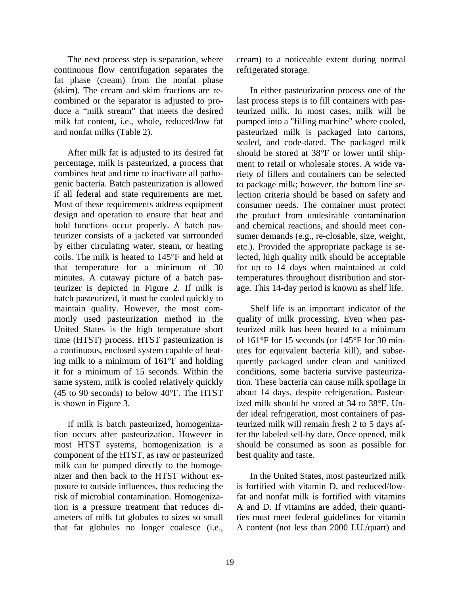The next process step is separation, where continuous flow centrifugation separates the fat phase (cream) from the nonfat phase (skim). The cream and skim fractions are recombined or the separator is adjusted to produce a "milk stream" that meets the desired milk fat content, i.e., whole, reduced/low fat and nonfat milks (Table 2).

 After milk fat is adjusted to its desired fat percentage, milk is pasteurized, a process that combines heat and time to inactivate all pathogenic bacteria. Batch pasteurization is allowed if all federal and state requirements are met. Most of these requirements address equipment design and operation to ensure that heat and hold functions occur properly. A batch pasteurizer consists of a jacketed vat surrounded by either circulating water, steam, or heating coils. The milk is heated to 145°F and held at that temperature for a minimum of 30 minutes. A cutaway picture of a batch pasteurizer is depicted in Figure 2. If milk is batch pasteurized, it must be cooled quickly to maintain quality. However, the most commonly used pasteurization method in the United States is the high temperature short time (HTST) process. HTST pasteurization is a continuous, enclosed system capable of heating milk to a minimum of 161°F and holding it for a minimum of 15 seconds. Within the same system, milk is cooled relatively quickly (45 to 90 seconds) to below 40°F. The HTST is shown in Figure 3.

 If milk is batch pasteurized, homogenization occurs after pasteurization. However in most HTST systems, homogenization is a component of the HTST, as raw or pasteurized milk can be pumped directly to the homogenizer and then back to the HTST without exposure to outside influences, thus reducing the risk of microbial contamination. Homogenization is a pressure treatment that reduces diameters of milk fat globules to sizes so small that fat globules no longer coalesce (i.e., cream) to a noticeable extent during normal refrigerated storage.

 In either pasteurization process one of the last process steps is to fill containers with pasteurized milk. In most cases, milk will be pumped into a "filling machine" where cooled, pasteurized milk is packaged into cartons, sealed, and code-dated. The packaged milk should be stored at 38°F or lower until shipment to retail or wholesale stores. A wide variety of fillers and containers can be selected to package milk; however, the bottom line selection criteria should be based on safety and consumer needs. The container must protect the product from undesirable contamination and chemical reactions, and should meet consumer demands (e.g., re-closable, size, weight, etc.). Provided the appropriate package is selected, high quality milk should be acceptable for up to 14 days when maintained at cold temperatures throughout distribution and storage. This 14-day period is known as shelf life.

 Shelf life is an important indicator of the quality of milk processing. Even when pasteurized milk has been heated to a minimum of 161°F for 15 seconds (or 145°F for 30 minutes for equivalent bacteria kill), and subsequently packaged under clean and sanitized conditions, some bacteria survive pasteurization. These bacteria can cause milk spoilage in about 14 days, despite refrigeration. Pasteurized milk should be stored at 34 to 38°F. Under ideal refrigeration, most containers of pasteurized milk will remain fresh 2 to 5 days after the labeled sell-by date. Once opened, milk should be consumed as soon as possible for best quality and taste.

 In the United States, most pasteurized milk is fortified with vitamin D, and reduced/lowfat and nonfat milk is fortified with vitamins A and D. If vitamins are added, their quantities must meet federal guidelines for vitamin A content (not less than 2000 I.U./quart) and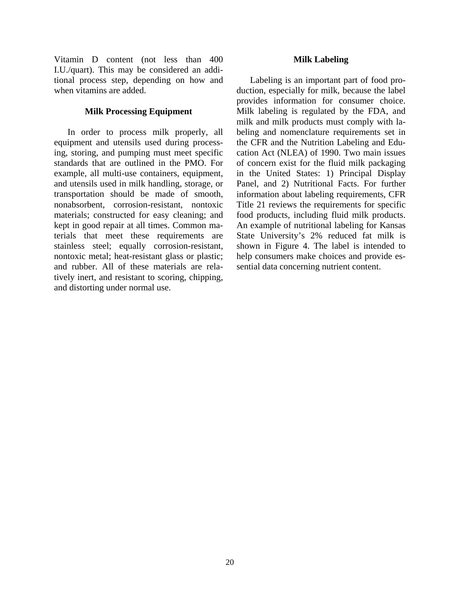Vitamin D content (not less than 400 I.U./quart). This may be considered an additional process step, depending on how and when vitamins are added.

# **Milk Processing Equipment**

 In order to process milk properly, all equipment and utensils used during processing, storing, and pumping must meet specific standards that are outlined in the PMO. For example, all multi-use containers, equipment, and utensils used in milk handling, storage, or transportation should be made of smooth, nonabsorbent, corrosion-resistant, nontoxic materials; constructed for easy cleaning; and kept in good repair at all times. Common materials that meet these requirements are stainless steel; equally corrosion-resistant, nontoxic metal; heat-resistant glass or plastic; and rubber. All of these materials are relatively inert, and resistant to scoring, chipping, and distorting under normal use.

### **Milk Labeling**

 Labeling is an important part of food production, especially for milk, because the label provides information for consumer choice. Milk labeling is regulated by the FDA, and milk and milk products must comply with labeling and nomenclature requirements set in the CFR and the Nutrition Labeling and Education Act (NLEA) of 1990. Two main issues of concern exist for the fluid milk packaging in the United States: 1) Principal Display Panel, and 2) Nutritional Facts. For further information about labeling requirements, CFR Title 21 reviews the requirements for specific food products, including fluid milk products. An example of nutritional labeling for Kansas State University's 2% reduced fat milk is shown in Figure 4. The label is intended to help consumers make choices and provide essential data concerning nutrient content.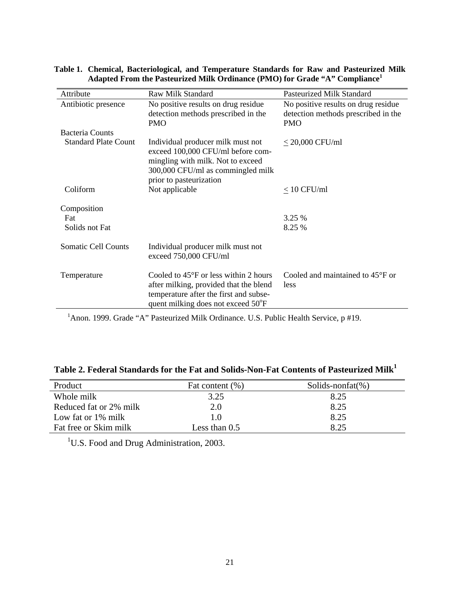| Attribute                            | Raw Milk Standard                                                                                                                                                           | <b>Pasteurized Milk Standard</b>         |
|--------------------------------------|-----------------------------------------------------------------------------------------------------------------------------------------------------------------------------|------------------------------------------|
| Antibiotic presence                  | No positive results on drug residue                                                                                                                                         | No positive results on drug residue      |
|                                      | detection methods prescribed in the                                                                                                                                         | detection methods prescribed in the      |
|                                      | <b>PMO</b>                                                                                                                                                                  | <b>PMO</b>                               |
| <b>Bacteria Counts</b>               |                                                                                                                                                                             |                                          |
| <b>Standard Plate Count</b>          | Individual producer milk must not<br>exceed 100,000 CFU/ml before com-<br>mingling with milk. Not to exceed<br>300,000 CFU/ml as commingled milk<br>prior to pasteurization | $<$ 20,000 CFU/ml                        |
| Coliform                             | Not applicable                                                                                                                                                              | $\leq 10$ CFU/ml                         |
| Composition<br>Fat<br>Solids not Fat |                                                                                                                                                                             | 3.25 %<br>8.25 %                         |
| <b>Somatic Cell Counts</b>           | Individual producer milk must not<br>exceed 750,000 CFU/ml                                                                                                                  |                                          |
| Temperature                          | Cooled to $45^{\circ}$ F or less within 2 hours<br>after milking, provided that the blend<br>temperature after the first and subse-<br>quent milking does not exceed 50°F   | Cooled and maintained to 45°F or<br>less |
|                                      |                                                                                                                                                                             |                                          |

| Table 1. Chemical, Bacteriological, and Temperature Standards for Raw and Pasteurized Milk |
|--------------------------------------------------------------------------------------------|
| Adapted From the Pasteurized Milk Ordinance (PMO) for Grade "A" Compliance"                |

<sup>1</sup>Anon. 1999. Grade "A" Pasteurized Milk Ordinance. U.S. Public Health Service, p #19.

| Table 2. Federal Standards for the Fat and Solids-Non-Fat Contents of Pasteurized Milk <sup>1</sup> |  |  |
|-----------------------------------------------------------------------------------------------------|--|--|
|                                                                                                     |  |  |

| Product                | Fat content (%) | Solids-nonfat $(\%)$ |
|------------------------|-----------------|----------------------|
| Whole milk             | 3.25            | 8.25                 |
| Reduced fat or 2% milk | 2.0             | 8.25                 |
| Low fat or 1% milk     | 1.0             | 8.25                 |
| Fat free or Skim milk  | Less than $0.5$ | 825                  |

<sup>1</sup>U.S. Food and Drug Administration, 2003.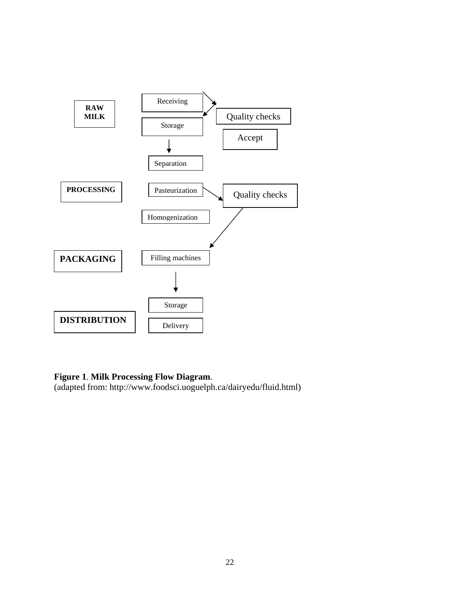

# **Figure 1**. **Milk Processing Flow Diagram**.

(adapted from: http://www.foodsci.uoguelph.ca/dairyedu/fluid.html)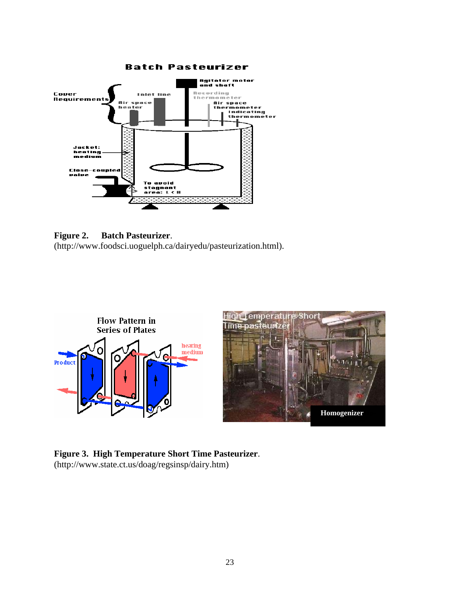

**Figure 2. Batch Pasteurizer**. (http://www.foodsci.uoguelph.ca/dairyedu/pasteurization.html).



**Figure 3. High Temperature Short Time Pasteurizer**. (http://www.state.ct.us/doag/regsinsp/dairy.htm)